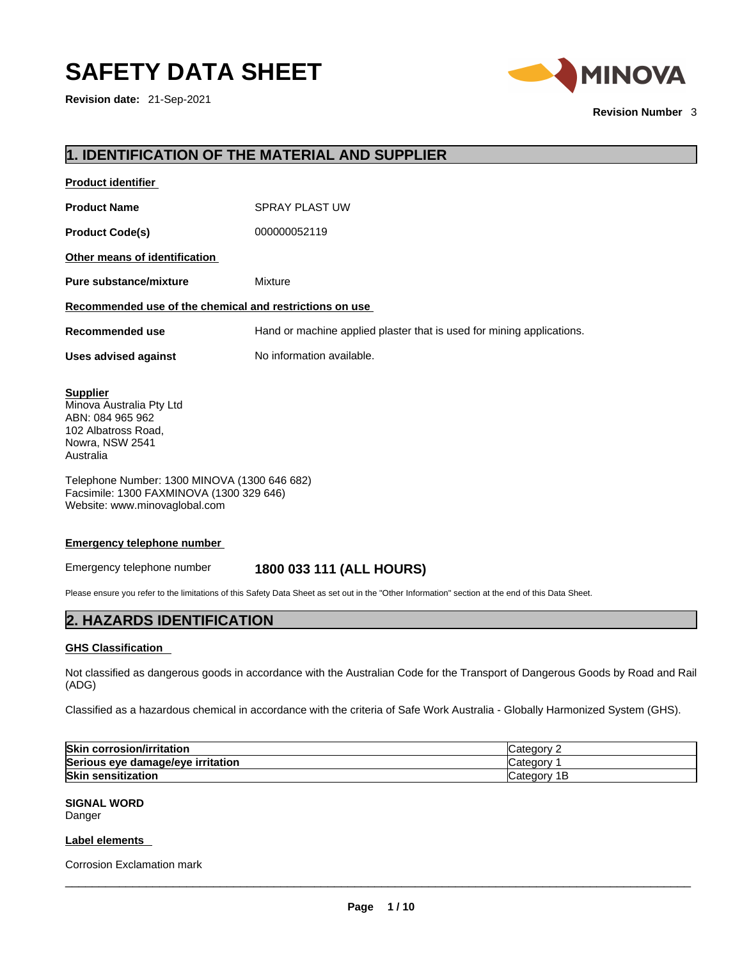# **SAFETY DATA SHEET**

**Revision date:** 21-Sep-2021



**Revision Number** 3

# **1. IDENTIFICATION OF THE MATERIAL AND SUPPLIER**

| <b>Product identifier</b>                               |                                                                       |  |
|---------------------------------------------------------|-----------------------------------------------------------------------|--|
| <b>Product Name</b>                                     | SPRAY PLAST UW                                                        |  |
| <b>Product Code(s)</b>                                  | 000000052119                                                          |  |
| Other means of identification                           |                                                                       |  |
| Pure substance/mixture                                  | Mixture                                                               |  |
| Recommended use of the chemical and restrictions on use |                                                                       |  |
| Recommended use                                         | Hand or machine applied plaster that is used for mining applications. |  |
| Uses advised against                                    | No information available.                                             |  |
|                                                         |                                                                       |  |

**Supplier** Minova Australia Pty Ltd ABN: 084 965 962 102 Albatross Road, Nowra, NSW 2541 Australia

Telephone Number: 1300 MINOVA (1300 646 682) Facsimile: 1300 FAXMINOVA (1300 329 646) Website: www.minovaglobal.com

#### **Emergency telephone number**

Emergency telephone number **1800 033 111 (ALL HOURS)** 

Please ensure you refer to the limitations of this Safety Data Sheet as set out in the "Other Information" section at the end of this Data Sheet.

### **2. HAZARDS IDENTIFICATION**

#### **GHS Classification**

Not classified as dangerous goods in accordance with the Australian Code for the Transport of Dangerous Goods by Road and Rail (ADG)

Classified as a hazardous chemical in accordance with the criteria of Safe Work Australia - Globally Harmonized System (GHS).

| <b>Skin</b><br>corrosion/irritation ا | ∵ategory.       |
|---------------------------------------|-----------------|
| Serious eye damage/eye irritation     | Categor         |
| <b>Skin sensitization</b>             | Category<br>' D |

#### **SIGNAL WORD** Danger

#### **Label elements**

Corrosion Exclamation mark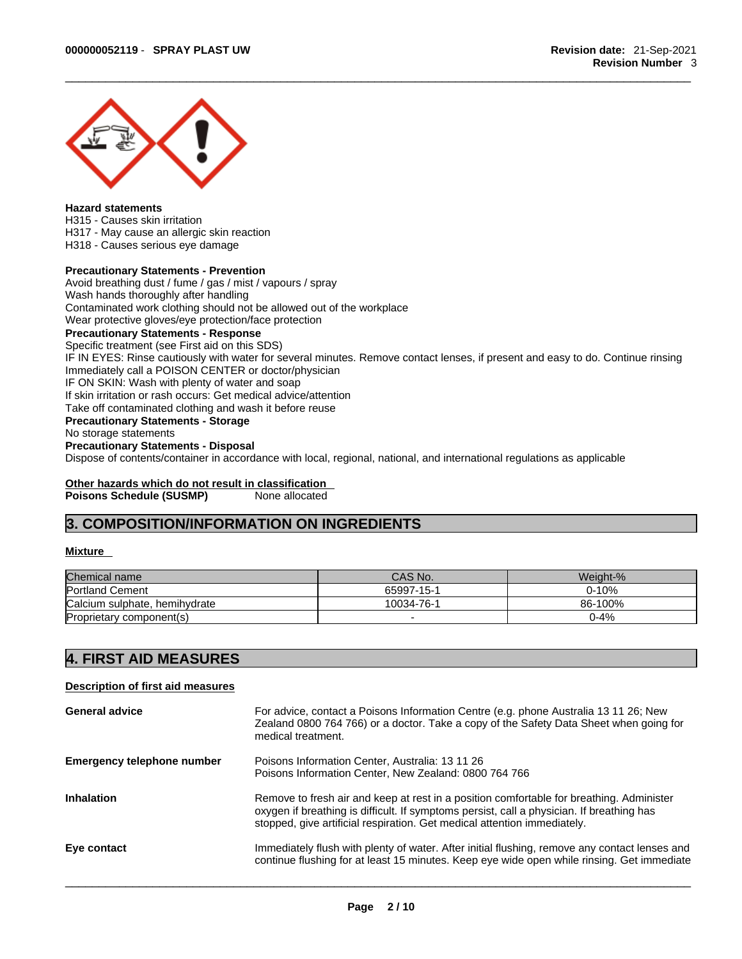

#### **Hazard statements**

H315 - Causes skin irritation H317 - May cause an allergic skin reaction H318 - Causes serious eye damage

#### **Precautionary Statements - Prevention**

Avoid breathing dust / fume / gas / mist / vapours / spray Wash hands thoroughly after handling Contaminated work clothing should not be allowed out of the workplace Wear protective gloves/eye protection/face protection **Precautionary Statements - Response** Specific treatment (see First aid on this SDS) IF IN EYES: Rinse cautiously with water for several minutes. Remove contact lenses, if present and easy to do. Continue rinsing Immediately call a POISON CENTER or doctor/physician IF ON SKIN: Wash with plenty of water and soap If skin irritation or rash occurs: Get medical advice/attention Take off contaminated clothing and wash it before reuse **Precautionary Statements - Storage** No storage statements **Precautionary Statements - Disposal** Dispose of contents/container in accordance with local, regional, national, and international regulations as applicable

**Other hazards which do not result in classification Poisons Schedule (SUSMP)** None allocated

### **3. COMPOSITION/INFORMATION ON INGREDIENTS**

#### **Mixture**

| Chemical name                 | CAS No.    | Weight-% |
|-------------------------------|------------|----------|
| <b>Portland Cement</b>        | 65997-15-1 | 0-10%    |
| Calcium sulphate, hemihydrate | 10034-76-1 | 86-100%  |
| Proprietary component(s)      |            | 0-4%     |

### **4. FIRST AID MEASURES**

#### **Description of first aid measures**

| <b>General advice</b>             | For advice, contact a Poisons Information Centre (e.g. phone Australia 13 11 26; New<br>Zealand 0800 764 766) or a doctor. Take a copy of the Safety Data Sheet when going for<br>medical treatment.                                                              |
|-----------------------------------|-------------------------------------------------------------------------------------------------------------------------------------------------------------------------------------------------------------------------------------------------------------------|
| <b>Emergency telephone number</b> | Poisons Information Center, Australia: 13 11 26<br>Poisons Information Center, New Zealand: 0800 764 766                                                                                                                                                          |
| <b>Inhalation</b>                 | Remove to fresh air and keep at rest in a position comfortable for breathing. Administer<br>oxygen if breathing is difficult. If symptoms persist, call a physician. If breathing has<br>stopped, give artificial respiration. Get medical attention immediately. |
| Eye contact                       | Immediately flush with plenty of water. After initial flushing, remove any contact lenses and<br>continue flushing for at least 15 minutes. Keep eye wide open while rinsing. Get immediate                                                                       |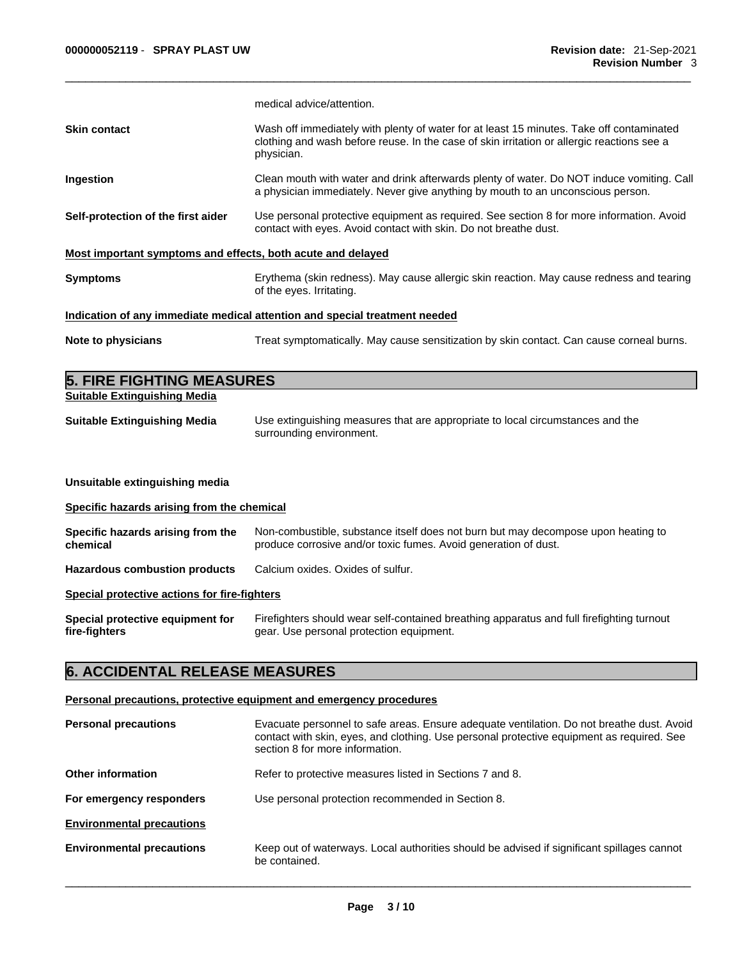|                                                             | medical advice/attention.                                                                                                                                                                                                 |
|-------------------------------------------------------------|---------------------------------------------------------------------------------------------------------------------------------------------------------------------------------------------------------------------------|
| <b>Skin contact</b>                                         | Wash off immediately with plenty of water for at least 15 minutes. Take off contaminated<br>clothing and wash before reuse. In the case of skin irritation or allergic reactions see a<br>physician.                      |
| Ingestion                                                   | Clean mouth with water and drink afterwards plenty of water. Do NOT induce vomiting. Call<br>a physician immediately. Never give anything by mouth to an unconscious person.                                              |
| Self-protection of the first aider                          | Use personal protective equipment as required. See section 8 for more information. Avoid<br>contact with eyes. Avoid contact with skin. Do not breathe dust.                                                              |
| Most important symptoms and effects, both acute and delayed |                                                                                                                                                                                                                           |
| <b>Symptoms</b>                                             | Erythema (skin redness). May cause allergic skin reaction. May cause redness and tearing<br>of the eyes. Irritating.                                                                                                      |
|                                                             | Indication of any immediate medical attention and special treatment needed                                                                                                                                                |
| Note to physicians                                          | Treat symptomatically. May cause sensitization by skin contact. Can cause corneal burns.                                                                                                                                  |
| <b>5. FIRE FIGHTING MEASURES</b>                            |                                                                                                                                                                                                                           |
| <b>Suitable Extinguishing Media</b>                         |                                                                                                                                                                                                                           |
| <b>Suitable Extinguishing Media</b>                         | Use extinguishing measures that are appropriate to local circumstances and the<br>surrounding environment.                                                                                                                |
| Unsuitable extinguishing media                              |                                                                                                                                                                                                                           |
| Specific hazards arising from the chemical                  |                                                                                                                                                                                                                           |
| Specific hazards arising from the<br>chemical               | Non-combustible, substance itself does not burn but may decompose upon heating to<br>produce corrosive and/or toxic fumes. Avoid generation of dust.                                                                      |
| <b>Hazardous combustion products</b>                        | Calcium oxides. Oxides of sulfur.                                                                                                                                                                                         |
| Special protective actions for fire-fighters                |                                                                                                                                                                                                                           |
| Special protective equipment for<br>fire-fighters           | Firefighters should wear self-contained breathing apparatus and full firefighting turnout<br>gear. Use personal protection equipment.                                                                                     |
| <b>6. ACCIDENTAL RELEASE MEASURES</b>                       |                                                                                                                                                                                                                           |
|                                                             | Personal precautions, protective equipment and emergency procedures                                                                                                                                                       |
| <b>Personal precautions</b>                                 | Evacuate personnel to safe areas. Ensure adequate ventilation. Do not breathe dust. Avoid<br>contact with skin, eyes, and clothing. Use personal protective equipment as required. See<br>section 8 for more information. |

**Other information** Refer to protective measures listed in Sections 7 and 8.

be contained.

**For emergency responders** Use personal protection recommended in Section 8.

**Environmental precautions**

**Environmental precautions** Keep out of waterways. Local authorities should be advised if significant spillages cannot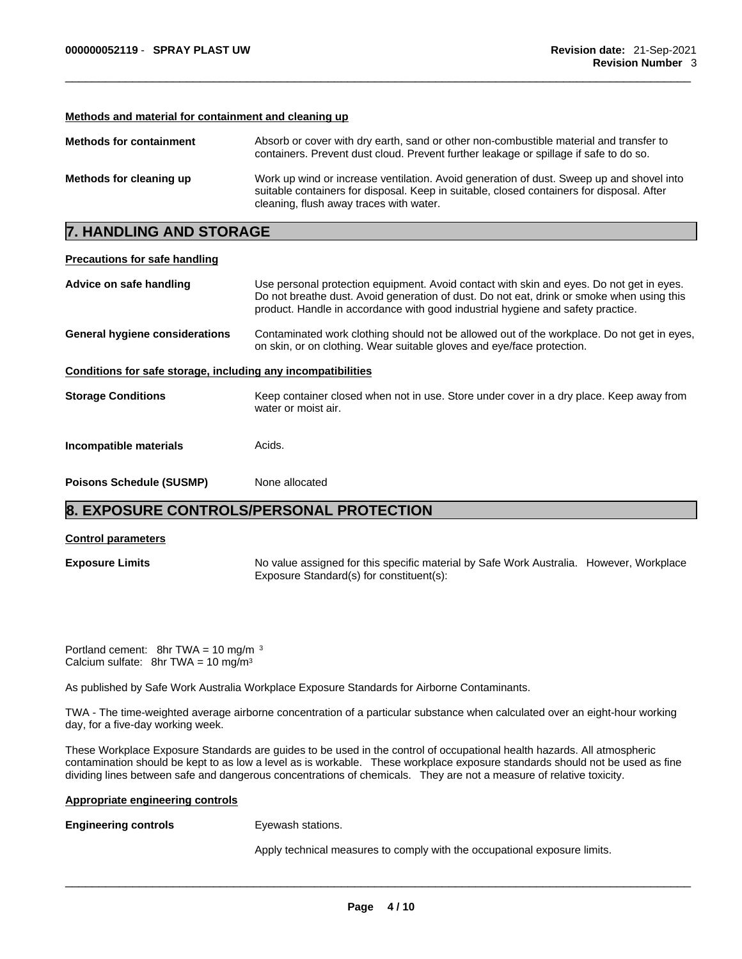#### **Methods and material for containment and cleaning up**

| <b>Methods for containment</b> | Absorb or cover with dry earth, sand or other non-combustible material and transfer to<br>containers. Prevent dust cloud. Prevent further leakage or spillage if safe to do so.                                                  |
|--------------------------------|----------------------------------------------------------------------------------------------------------------------------------------------------------------------------------------------------------------------------------|
| Methods for cleaning up        | Work up wind or increase ventilation. Avoid generation of dust. Sweep up and shovel into<br>suitable containers for disposal. Keep in suitable, closed containers for disposal. After<br>cleaning, flush away traces with water. |

# **7. HANDLING AND STORAGE**

| <b>Precautions for safe handling</b>                         |                                                                                                                                                                                                                                                                          |  |
|--------------------------------------------------------------|--------------------------------------------------------------------------------------------------------------------------------------------------------------------------------------------------------------------------------------------------------------------------|--|
| Advice on safe handling                                      | Use personal protection equipment. Avoid contact with skin and eyes. Do not get in eyes.<br>Do not breathe dust. Avoid generation of dust. Do not eat, drink or smoke when using this<br>product. Handle in accordance with good industrial hygiene and safety practice. |  |
| <b>General hygiene considerations</b>                        | Contaminated work clothing should not be allowed out of the workplace. Do not get in eyes,<br>on skin, or on clothing. Wear suitable gloves and eye/face protection.                                                                                                     |  |
| Conditions for safe storage, including any incompatibilities |                                                                                                                                                                                                                                                                          |  |
| <b>Storage Conditions</b>                                    | Keep container closed when not in use. Store under cover in a dry place. Keep away from<br>water or moist air.                                                                                                                                                           |  |
| Incompatible materials                                       | Acids.                                                                                                                                                                                                                                                                   |  |
| <b>Poisons Schedule (SUSMP)</b>                              | None allocated                                                                                                                                                                                                                                                           |  |
| A EVBOOUDE CONTROLOGEROOM                                    | <b>BBATEATIAU</b>                                                                                                                                                                                                                                                        |  |

### **8. EXPOSURE CONTROLS/PERSONAL PROTECTION**

#### **Control parameters**

**Exposure Limits** No value assigned for this specific material by Safe Work Australia. However, Workplace Exposure Standard(s) for constituent(s):

Portland cement: 8hr TWA = 10 mg/m <sup>3</sup> Calcium sulfate: 8hr TWA =  $10 \text{ mg/m}^3$ 

As published by Safe Work Australia Workplace Exposure Standards for Airborne Contaminants.

TWA - The time-weighted average airborne concentration of a particular substance when calculated over an eight-hour working day, for a five-day working week.

These Workplace Exposure Standards are guides to be used in the control of occupational health hazards. All atmospheric contamination should be kept to as low a level as is workable. These workplace exposure standards should not be used as fine dividing lines between safe and dangerous concentrations of chemicals. They are not a measure of relative toxicity.

#### **Appropriate engineering controls**

#### **Engineering controls Eyewash stations.**

Apply technical measures to comply with the occupational exposure limits.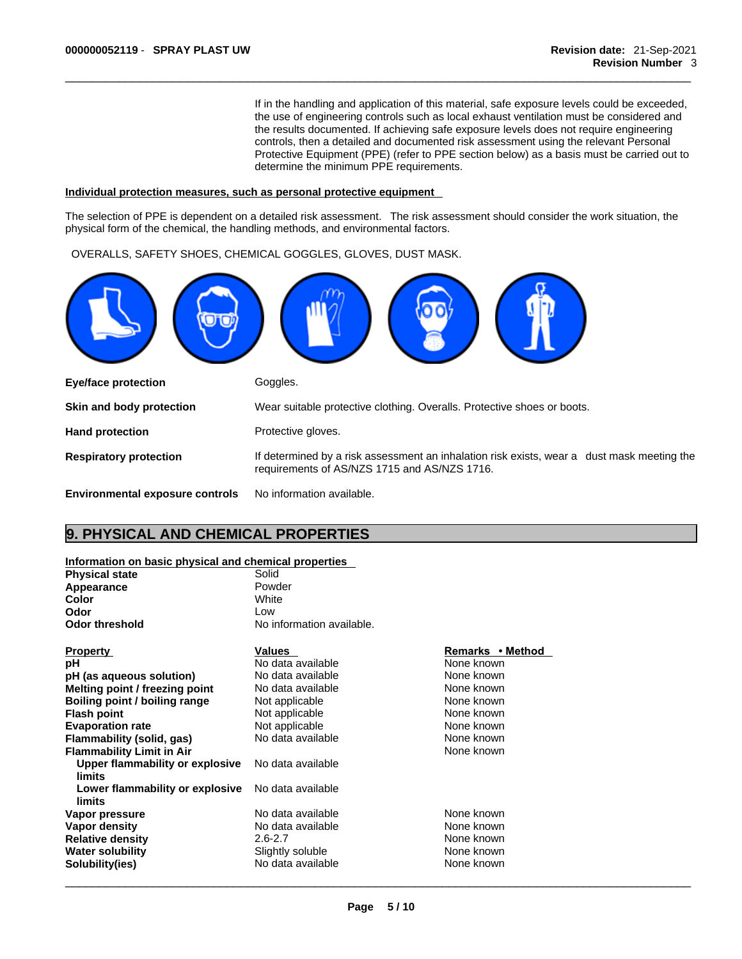If in the handling and application of this material, safe exposure levels could be exceeded, the use of engineering controls such as local exhaust ventilation must be considered and the results documented. If achieving safe exposure levels does not require engineering controls, then a detailed and documented risk assessment using the relevant Personal Protective Equipment (PPE) (refer to PPE section below) as a basis must be carried out to determine the minimum PPE requirements.

**Property Values Remarks • Method**

**None known** 

#### **Individual protection measures, such as personal protective equipment**

The selection of PPE is dependent on a detailed risk assessment. The risk assessment should consider the work situation, the physical form of the chemical, the handling methods, and environmental factors.

OVERALLS, SAFETY SHOES, CHEMICAL GOGGLES, GLOVES, DUST MASK.



### **9. PHYSICAL AND CHEMICAL PROPERTIES**

#### **Information on basic physical and chemical properties**

| <b>Physical state</b>          | Solid                     |
|--------------------------------|---------------------------|
| Appearance                     | Powder                    |
| Color                          | White                     |
| Odor                           | Low                       |
| Odor threshold                 | No information available. |
| Property                       | <b>Values</b>             |
| рH                             | No data available         |
| pH (as aqueous solution)       | No data available         |
| Malting noint / froezing noint | Ala data availahla        |

| pH (as aqueous solution)         | No data available | None known |
|----------------------------------|-------------------|------------|
| Melting point / freezing point   | No data available | None known |
| Boiling point / boiling range    | Not applicable    | None known |
| <b>Flash point</b>               | Not applicable    | None known |
| <b>Evaporation rate</b>          | Not applicable    | None known |
| Flammability (solid, gas)        | No data available | None known |
| <b>Flammability Limit in Air</b> |                   | None known |
| Upper flammability or explosive  | No data available |            |
| limits                           |                   |            |
| Lower flammability or explosive  | No data available |            |
| limits                           |                   |            |
| Vapor pressure                   | No data available | None known |
| Vapor density                    | No data available | None known |
| <b>Relative density</b>          | $2.6 - 2.7$       | None known |
| <b>Water solubility</b>          | Slightly soluble  | None known |
| Solubility(ies)                  | No data available | None known |
|                                  |                   |            |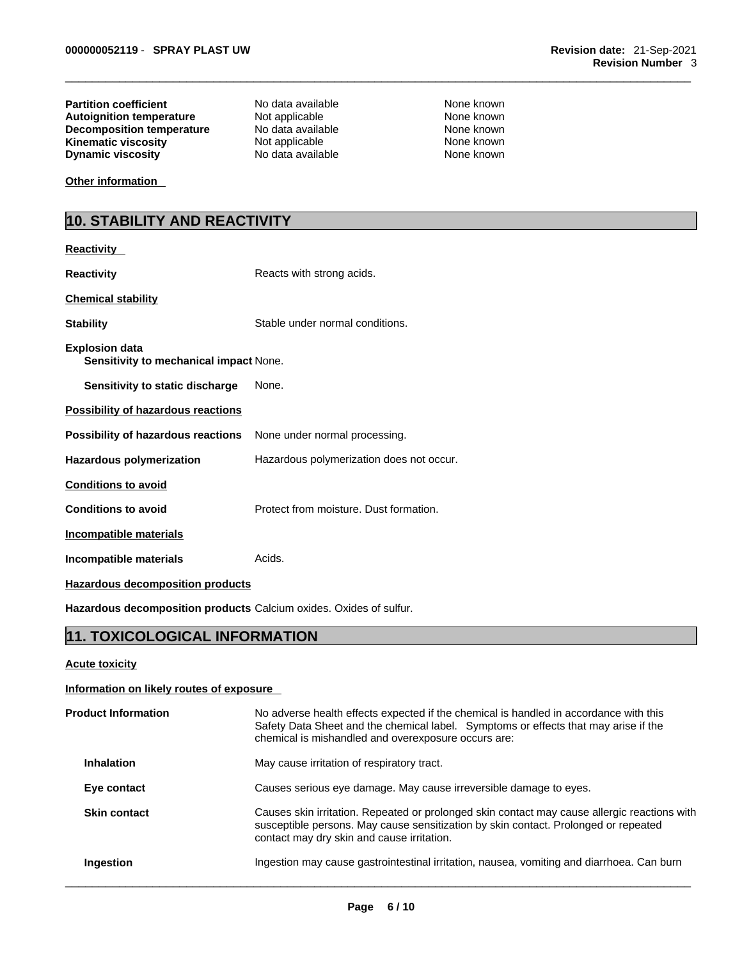**Partition coefficient**<br> **Autoignition temperature**<br>
Not applicable<br>
None known<br>
None known **Autoignition temperature** Mot applicable **None known**<br> **Decomposition temperature** No data available None known **Decomposition temperature** No data available None known<br> **Kinematic viscosity** Not applicable None known **Kinematic viscosity**<br> **Communication**<br> **Dynamic viscosity**<br> **No data available Dynamic viscosity** 

None known

**Other information** 

# **10. STABILITY AND REACTIVITY**

| <b>Reactivity</b>                                               |                                          |
|-----------------------------------------------------------------|------------------------------------------|
| <b>Reactivity</b>                                               | Reacts with strong acids.                |
| <b>Chemical stability</b>                                       |                                          |
| <b>Stability</b>                                                | Stable under normal conditions.          |
| <b>Explosion data</b><br>Sensitivity to mechanical impact None. |                                          |
| <b>Sensitivity to static discharge</b>                          | None.                                    |
| <b>Possibility of hazardous reactions</b>                       |                                          |
| Possibility of hazardous reactions                              | None under normal processing.            |
| <b>Hazardous polymerization</b>                                 | Hazardous polymerization does not occur. |
| <b>Conditions to avoid</b>                                      |                                          |
| <b>Conditions to avoid</b>                                      | Protect from moisture. Dust formation.   |
| Incompatible materials                                          |                                          |
| Incompatible materials                                          | Acids.                                   |
| <b>Hazardous decomposition products</b>                         |                                          |

**Hazardous decomposition products** Calcium oxides. Oxides of sulfur.

# **11. TOXICOLOGICAL INFORMATION**

#### **Acute toxicity**

#### **Information on likely routes of exposure**

| <b>Product Information</b> | No adverse health effects expected if the chemical is handled in accordance with this<br>Safety Data Sheet and the chemical label. Symptoms or effects that may arise if the<br>chemical is mishandled and overexposure occurs are: |
|----------------------------|-------------------------------------------------------------------------------------------------------------------------------------------------------------------------------------------------------------------------------------|
| <b>Inhalation</b>          | May cause irritation of respiratory tract.                                                                                                                                                                                          |
| Eye contact                | Causes serious eye damage. May cause irreversible damage to eyes.                                                                                                                                                                   |
| <b>Skin contact</b>        | Causes skin irritation. Repeated or prolonged skin contact may cause allergic reactions with<br>susceptible persons. May cause sensitization by skin contact. Prolonged or repeated<br>contact may dry skin and cause irritation.   |
| Ingestion                  | Ingestion may cause gastrointestinal irritation, nausea, vomiting and diarrhoea. Can burn                                                                                                                                           |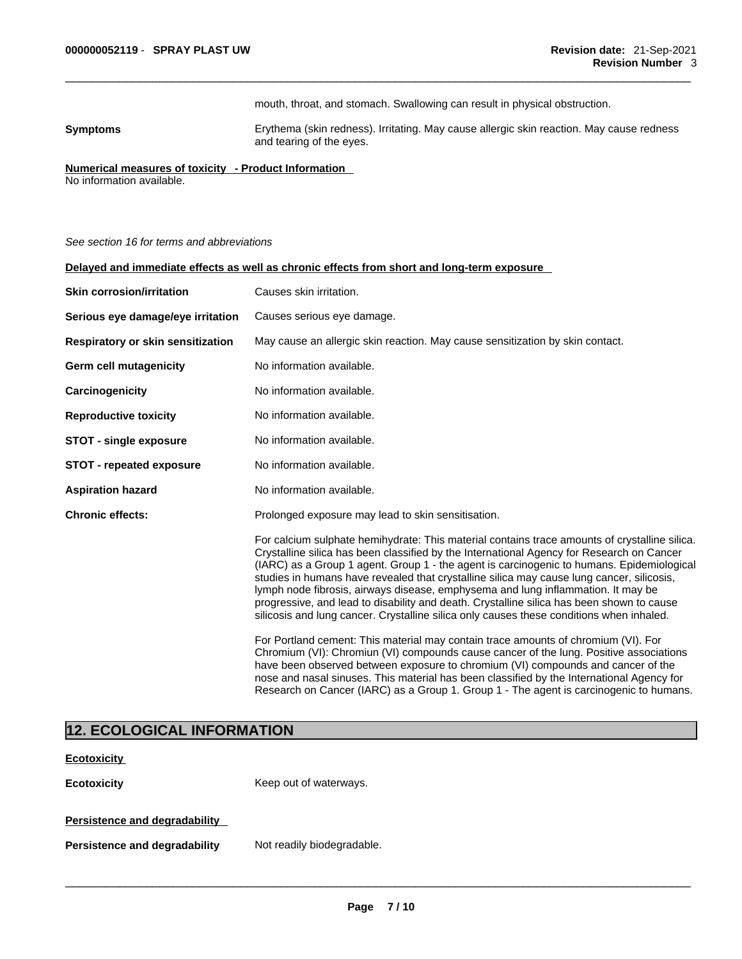mouth, throat, and stomach. Swallowing can result in physical obstruction.

**Symptoms** Erythema (skin redness). Irritating. May cause allergic skin reaction. May cause redness and tearing of the eyes.

**Numerical measures of toxicity - Product Information**

No information available.

#### *See section 16 for terms and abbreviations*

| Delayed and immediate effects as well as chronic effects from short and long-term exposure |                                                                                                                                                                                                                                                                                                                                                                                                                                                                                                                                                                                                                                                                   |  |
|--------------------------------------------------------------------------------------------|-------------------------------------------------------------------------------------------------------------------------------------------------------------------------------------------------------------------------------------------------------------------------------------------------------------------------------------------------------------------------------------------------------------------------------------------------------------------------------------------------------------------------------------------------------------------------------------------------------------------------------------------------------------------|--|
| <b>Skin corrosion/irritation</b>                                                           | Causes skin irritation.                                                                                                                                                                                                                                                                                                                                                                                                                                                                                                                                                                                                                                           |  |
| Serious eye damage/eye irritation                                                          | Causes serious eye damage.                                                                                                                                                                                                                                                                                                                                                                                                                                                                                                                                                                                                                                        |  |
| Respiratory or skin sensitization                                                          | May cause an allergic skin reaction. May cause sensitization by skin contact.                                                                                                                                                                                                                                                                                                                                                                                                                                                                                                                                                                                     |  |
| Germ cell mutagenicity                                                                     | No information available.                                                                                                                                                                                                                                                                                                                                                                                                                                                                                                                                                                                                                                         |  |
| <b>Carcinogenicity</b>                                                                     | No information available.                                                                                                                                                                                                                                                                                                                                                                                                                                                                                                                                                                                                                                         |  |
| <b>Reproductive toxicity</b>                                                               | No information available.                                                                                                                                                                                                                                                                                                                                                                                                                                                                                                                                                                                                                                         |  |
| <b>STOT - single exposure</b>                                                              | No information available.                                                                                                                                                                                                                                                                                                                                                                                                                                                                                                                                                                                                                                         |  |
| <b>STOT - repeated exposure</b>                                                            | No information available.                                                                                                                                                                                                                                                                                                                                                                                                                                                                                                                                                                                                                                         |  |
| <b>Aspiration hazard</b>                                                                   | No information available.                                                                                                                                                                                                                                                                                                                                                                                                                                                                                                                                                                                                                                         |  |
| <b>Chronic effects:</b>                                                                    | Prolonged exposure may lead to skin sensitisation.                                                                                                                                                                                                                                                                                                                                                                                                                                                                                                                                                                                                                |  |
|                                                                                            | For calcium sulphate hemihydrate: This material contains trace amounts of crystalline silica.<br>Crystalline silica has been classified by the International Agency for Research on Cancer<br>(IARC) as a Group 1 agent. Group 1 - the agent is carcinogenic to humans. Epidemiological<br>studies in humans have revealed that crystalline silica may cause lung cancer, silicosis,<br>lymph node fibrosis, airways disease, emphysema and lung inflammation. It may be<br>progressive, and lead to disability and death. Crystalline silica has been shown to cause<br>silicosis and lung cancer. Crystalline silica only causes these conditions when inhaled. |  |
|                                                                                            | For Portland cement: This material may contain trace amounts of chromium (VI). For<br>Chromium (VI): Chromiun (VI) compounds cause cancer of the lung. Positive associations<br>have been observed between exposure to chromium (VI) compounds and cancer of the<br>nose and nasal sinuses. This material has been classified by the International Agency for<br>Research on Cancer (IARC) as a Group 1. Group 1 - The agent is carcinogenic to humans.                                                                                                                                                                                                           |  |

# **12. ECOLOGICAL INFORMATION**

| <b>Ecotoxicity</b>            |                            |
|-------------------------------|----------------------------|
| <b>Ecotoxicity</b>            | Keep out of waterways.     |
| Persistence and degradability |                            |
| Persistence and degradability | Not readily biodegradable. |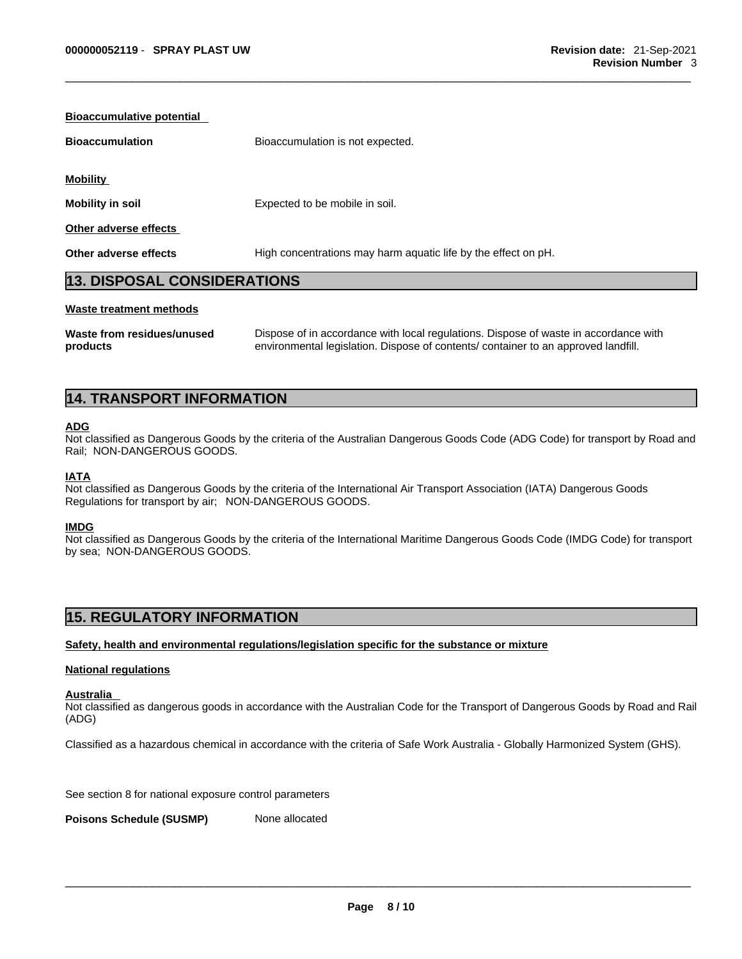| <b>Bioaccumulative potential</b> |                                                                |  |
|----------------------------------|----------------------------------------------------------------|--|
| <b>Bioaccumulation</b>           | Bioaccumulation is not expected.                               |  |
|                                  |                                                                |  |
| <b>Mobility</b>                  |                                                                |  |
| <b>Mobility in soil</b>          | Expected to be mobile in soil.                                 |  |
| Other adverse effects            |                                                                |  |
| Other adverse effects            | High concentrations may harm aquatic life by the effect on pH. |  |
|                                  |                                                                |  |

### **13. DISPOSAL CONSIDERATIONS**

#### **Waste treatment methods**

| Waste from residues/unused | Dispose of in accordance with local regulations. Dispose of waste in accordance with |
|----------------------------|--------------------------------------------------------------------------------------|
| products                   | environmental legislation. Dispose of contents/ container to an approved landfill.   |

## **14. TRANSPORT INFORMATION**

#### **ADG**

Not classified as Dangerous Goods by the criteria of the Australian Dangerous Goods Code (ADG Code) for transport by Road and Rail; NON-DANGEROUS GOODS.

#### **IATA**

Not classified as Dangerous Goods by the criteria of the International Air Transport Association (IATA) Dangerous Goods Regulations for transport by air; NON-DANGEROUS GOODS.

#### **IMDG**

Not classified as Dangerous Goods by the criteria of the International Maritime Dangerous Goods Code (IMDG Code) for transport by sea; NON-DANGEROUS GOODS.

### **15. REGULATORY INFORMATION**

#### **Safety, health and environmental regulations/legislation specific for the substance or mixture**

#### **National regulations**

#### **Australia**

Not classified as dangerous goods in accordance with the Australian Code for the Transport of Dangerous Goods by Road and Rail (ADG)

Classified as a hazardous chemical in accordance with the criteria of Safe Work Australia - Globally Harmonized System (GHS).

See section 8 for national exposure control parameters

**Poisons Schedule (SUSMP)** None allocated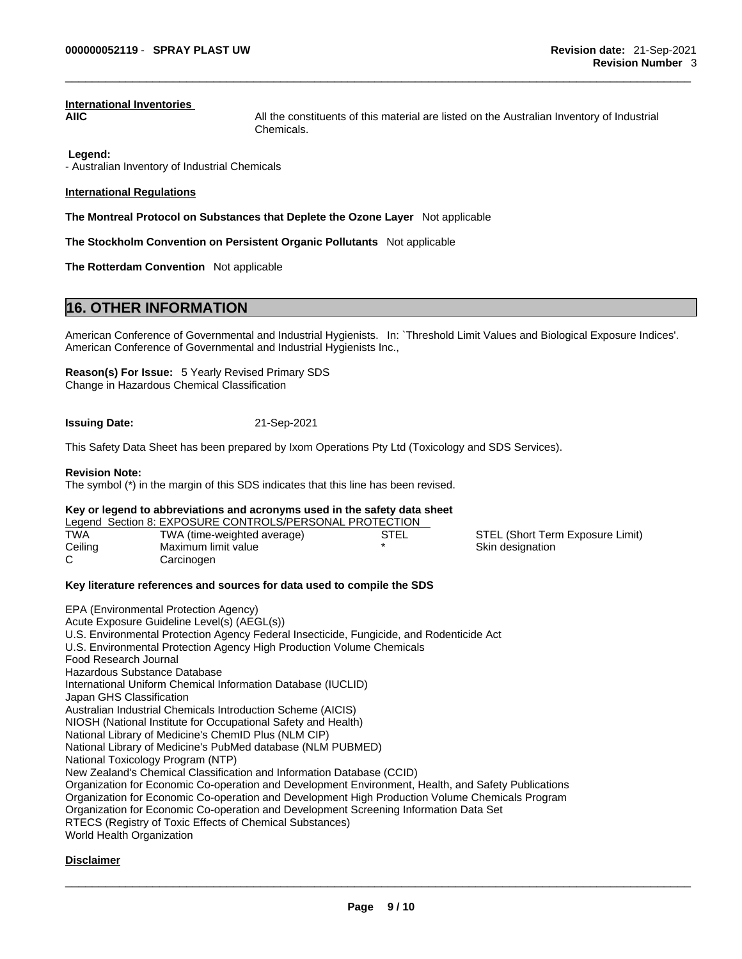# **International Inventories**

**AIIC** All the constituents of this material are listed on the Australian Inventory of Industrial Chemicals.

#### **Legend:**

- Australian Inventory of Industrial Chemicals

#### **International Regulations**

**The Montreal Protocol on Substances that Deplete the Ozone Layer** Not applicable

**The Stockholm Convention on Persistent Organic Pollutants** Not applicable

**The Rotterdam Convention** Not applicable

# **16. OTHER INFORMATION**

American Conference of Governmental and Industrial Hygienists. In: `Threshold Limit Values and Biological Exposure Indices'. American Conference of Governmental and Industrial Hygienists Inc.,

**Reason(s) For Issue:** 5 Yearly Revised Primary SDS Change in Hazardous Chemical Classification

**Issuing Date:** 21-Sep-2021

This Safety Data Sheet has been prepared by Ixom Operations Pty Ltd (Toxicology and SDS Services).

#### **Revision Note:**

The symbol (\*) in the margin of this SDS indicates that this line has been revised.

#### **Key or legend to abbreviations and acronyms used in the safety data sheet**

|            | Legend Section 8: EXPOSURE CONTROLS/PERSONAL PROTECTION |      |                                  |
|------------|---------------------------------------------------------|------|----------------------------------|
| <b>TWA</b> | TWA (time-weighted average)                             | STEL | STEL (Short Term Exposure Limit) |
| Ceiling    | Maximum limit value                                     |      | Skin designation                 |
|            | Carcinogen                                              |      |                                  |

#### **Key literature references and sources for data used to compile the SDS**

EPA (Environmental Protection Agency) Acute Exposure Guideline Level(s) (AEGL(s)) U.S. Environmental Protection Agency Federal Insecticide, Fungicide, and Rodenticide Act U.S. Environmental Protection Agency High Production Volume Chemicals Food Research Journal Hazardous Substance Database International Uniform Chemical Information Database (IUCLID) Japan GHS Classification Australian Industrial Chemicals Introduction Scheme (AICIS) NIOSH (National Institute for Occupational Safety and Health) National Library of Medicine's ChemID Plus (NLM CIP) National Library of Medicine's PubMed database (NLM PUBMED) National Toxicology Program (NTP) New Zealand's Chemical Classification and Information Database (CCID) Organization for Economic Co-operation and Development Environment, Health, and Safety Publications Organization for Economic Co-operation and Development High Production Volume Chemicals Program Organization for Economic Co-operation and Development Screening Information Data Set RTECS (Registry of Toxic Effects of Chemical Substances) World Health Organization

#### **Disclaimer**